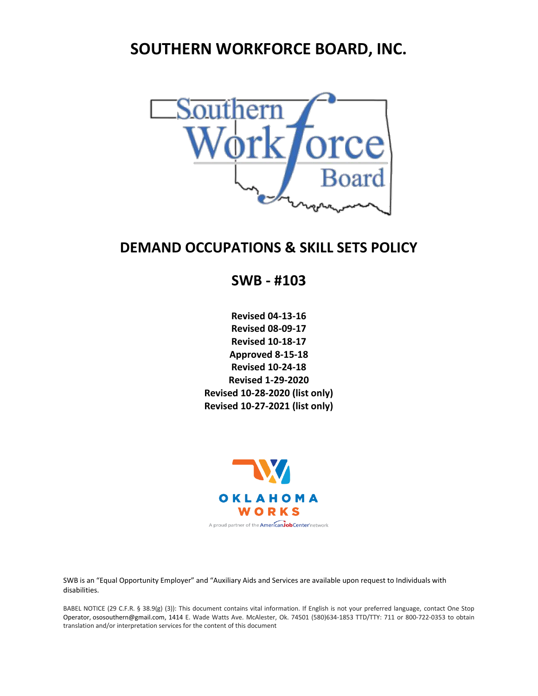# **SOUTHERN WORKFORCE BOARD, INC.**



# **DEMAND OCCUPATIONS & SKILL SETS POLICY**

**SWB - #103**

**Revised 04-13-16 Revised 08-09-17 Revised 10-18-17 Approved 8-15-18 Revised 10-24-18 Revised 1-29-2020 Revised 10-28-2020 (list only) Revised 10-27-2021 (list only)**



SWB is an "Equal Opportunity Employer" and "Auxiliary Aids and Services are available upon request to Individuals with disabilities.

BABEL NOTICE (29 C.F.R. § 38.9(g) (3)): This document contains vital information. If English is not your preferred language, contact One Stop Operator, [ososouthern@gmail.com,](mailto:ososouthern@gmail.com) 1414 E. Wade Watts Ave. McAlester, Ok. 74501 (580)634-1853 TTD/TTY: 711 or 800-722-0353 to obtain translation and/or interpretation services for the content of this document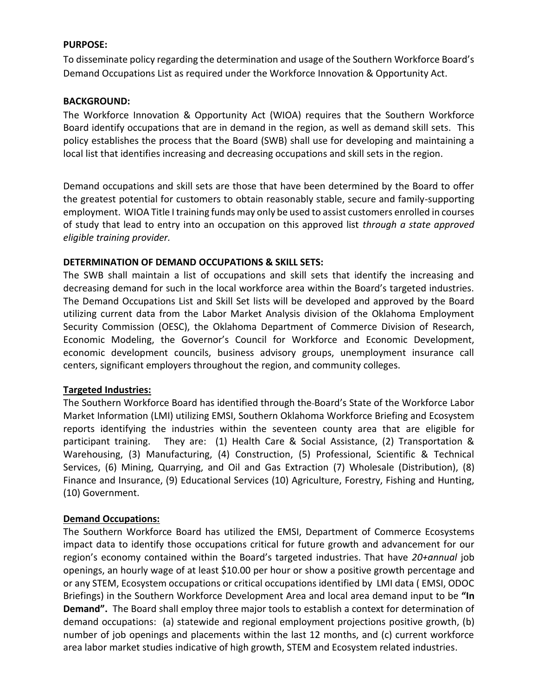#### **PURPOSE:**

To disseminate policy regarding the determination and usage of the Southern Workforce Board's Demand Occupations List as required under the Workforce Innovation & Opportunity Act.

#### **BACKGROUND:**

The Workforce Innovation & Opportunity Act (WIOA) requires that the Southern Workforce Board identify occupations that are in demand in the region, as well as demand skill sets. This policy establishes the process that the Board (SWB) shall use for developing and maintaining a local list that identifies increasing and decreasing occupations and skill sets in the region.

Demand occupations and skill sets are those that have been determined by the Board to offer the greatest potential for customers to obtain reasonably stable, secure and family-supporting employment. WIOA Title I training funds may only be used to assist customers enrolled in courses of study that lead to entry into an occupation on this approved list *through a state approved eligible training provider.*

#### **DETERMINATION OF DEMAND OCCUPATIONS & SKILL SETS:**

The SWB shall maintain a list of occupations and skill sets that identify the increasing and decreasing demand for such in the local workforce area within the Board's targeted industries. The Demand Occupations List and Skill Set lists will be developed and approved by the Board utilizing current data from the Labor Market Analysis division of the Oklahoma Employment Security Commission (OESC), the Oklahoma Department of Commerce Division of Research, Economic Modeling, the Governor's Council for Workforce and Economic Development, economic development councils, business advisory groups, unemployment insurance call centers, significant employers throughout the region, and community colleges.

#### **Targeted Industries:**

The Southern Workforce Board has identified through the Board's State of the Workforce Labor Market Information (LMI) utilizing EMSI, Southern Oklahoma Workforce Briefing and Ecosystem reports identifying the industries within the seventeen county area that are eligible for participant training. They are: (1) Health Care & Social Assistance, (2) Transportation & Warehousing, (3) Manufacturing, (4) Construction, (5) Professional, Scientific & Technical Services, (6) Mining, Quarrying, and Oil and Gas Extraction (7) Wholesale (Distribution), (8) Finance and Insurance, (9) Educational Services (10) Agriculture, Forestry, Fishing and Hunting, (10) Government.

#### **Demand Occupations:**

The Southern Workforce Board has utilized the EMSI, Department of Commerce Ecosystems impact data to identify those occupations critical for future growth and advancement for our region's economy contained within the Board's targeted industries. That have *20+annual* job openings, an hourly wage of at least \$10.00 per hour or show a positive growth percentage and or any STEM, Ecosystem occupations or critical occupations identified by LMI data ( EMSI, ODOC Briefings) in the Southern Workforce Development Area and local area demand input to be **"In Demand".** The Board shall employ three major tools to establish a context for determination of demand occupations: (a) statewide and regional employment projections positive growth, (b) number of job openings and placements within the last 12 months, and (c) current workforce area labor market studies indicative of high growth, STEM and Ecosystem related industries.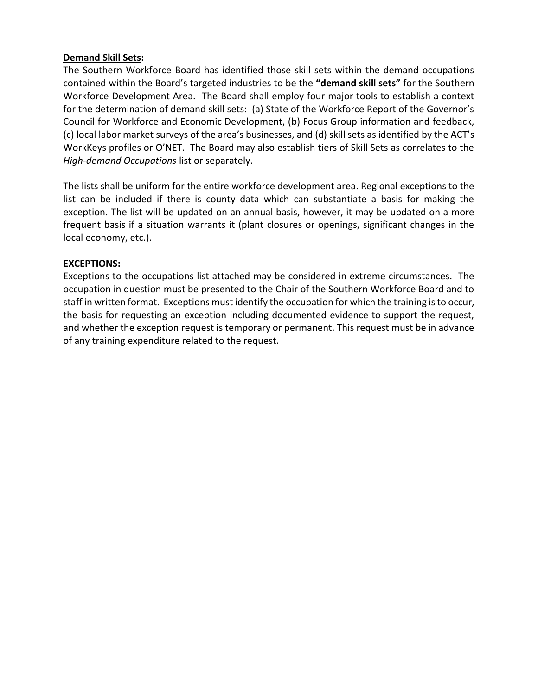### **Demand Skill Sets:**

The Southern Workforce Board has identified those skill sets within the demand occupations contained within the Board's targeted industries to be the **"demand skill sets"** for the Southern Workforce Development Area. The Board shall employ four major tools to establish a context for the determination of demand skill sets: (a) State of the Workforce Report of the Governor's Council for Workforce and Economic Development, (b) Focus Group information and feedback, (c) local labor market surveys of the area's businesses, and (d) skill sets as identified by the ACT's WorkKeys profiles or O'NET. The Board may also establish tiers of Skill Sets as correlates to the *High-demand Occupations* list or separately.

The lists shall be uniform for the entire workforce development area. Regional exceptions to the list can be included if there is county data which can substantiate a basis for making the exception. The list will be updated on an annual basis, however, it may be updated on a more frequent basis if a situation warrants it (plant closures or openings, significant changes in the local economy, etc.).

### **EXCEPTIONS:**

Exceptions to the occupations list attached may be considered in extreme circumstances. The occupation in question must be presented to the Chair of the Southern Workforce Board and to staff in written format. Exceptions must identify the occupation for which the training is to occur, the basis for requesting an exception including documented evidence to support the request, and whether the exception request is temporary or permanent. This request must be in advance of any training expenditure related to the request.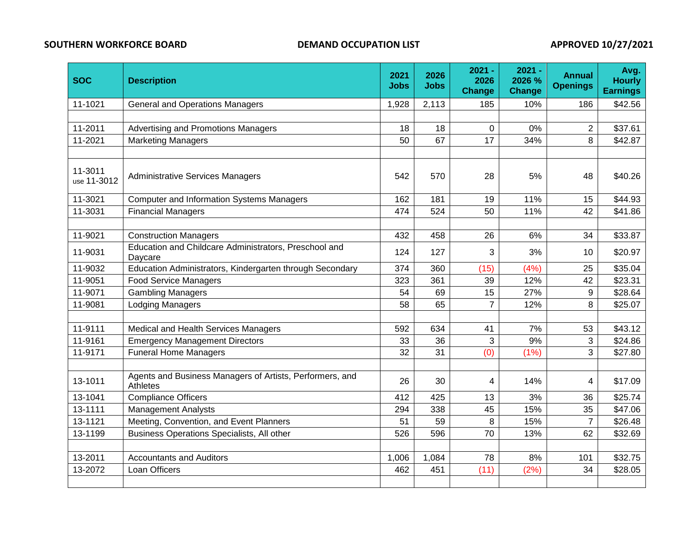### **SOUTHERN WORKFORCE BOARD DEMAND OCCUPATION LIST APPROVED 10/27/2021**

| <b>SOC</b>                                                        | <b>Description</b>                                                   |       | 2026<br><b>Jobs</b> | $2021 -$<br>2026<br><b>Change</b> | $2021 -$<br>2026 %<br><b>Change</b> | <b>Annual</b><br><b>Openings</b> | Avg.<br><b>Hourly</b><br><b>Earnings</b> |
|-------------------------------------------------------------------|----------------------------------------------------------------------|-------|---------------------|-----------------------------------|-------------------------------------|----------------------------------|------------------------------------------|
| 11-1021                                                           | <b>General and Operations Managers</b>                               | 1,928 | 2,113               | 185                               | 10%                                 | 186                              | \$42.56                                  |
|                                                                   |                                                                      |       |                     |                                   |                                     |                                  |                                          |
| 11-2011                                                           | Advertising and Promotions Managers                                  | 18    | 18                  | 0                                 | 0%                                  | $\overline{2}$                   | \$37.61                                  |
| 11-2021                                                           | <b>Marketing Managers</b>                                            | 50    | 67                  | 17                                | 34%                                 | 8                                | \$42.87                                  |
|                                                                   |                                                                      |       |                     |                                   |                                     |                                  |                                          |
| 11-3011<br><b>Administrative Services Managers</b><br>use 11-3012 |                                                                      | 542   | 570                 | 28                                | 5%                                  | 48                               | \$40.26                                  |
| 11-3021                                                           | <b>Computer and Information Systems Managers</b>                     | 162   | 181                 | 19                                | 11%                                 | 15                               | \$44.93                                  |
| 11-3031                                                           | <b>Financial Managers</b>                                            | 474   | 524                 | 50                                | 11%                                 | 42                               | \$41.86                                  |
|                                                                   |                                                                      |       |                     |                                   |                                     |                                  |                                          |
| 11-9021                                                           | <b>Construction Managers</b>                                         |       | 458                 | 26                                | 6%                                  | 34                               | \$33.87                                  |
| 11-9031                                                           | Education and Childcare Administrators, Preschool and<br>Daycare     |       | 127                 | 3                                 | 3%                                  | 10                               | \$20.97                                  |
| 11-9032                                                           | Education Administrators, Kindergarten through Secondary             |       | 360                 | (15)                              | (4% )                               | 25                               | \$35.04                                  |
| 11-9051                                                           | <b>Food Service Managers</b>                                         | 323   | 361                 | 39                                | 12%                                 | 42                               | \$23.31                                  |
| 11-9071                                                           | <b>Gambling Managers</b>                                             | 54    | 69                  | 15                                | 27%                                 | 9                                | \$28.64                                  |
| 11-9081                                                           | <b>Lodging Managers</b>                                              | 58    | 65                  | $\overline{7}$                    | 12%                                 | 8                                | \$25.07                                  |
|                                                                   |                                                                      |       |                     |                                   |                                     |                                  |                                          |
| 11-9111                                                           | Medical and Health Services Managers                                 | 592   | 634                 | 41                                | 7%                                  | 53                               | \$43.12                                  |
| 11-9161                                                           | <b>Emergency Management Directors</b>                                | 33    | 36                  | 3                                 | 9%                                  | 3                                | \$24.86                                  |
| 11-9171                                                           | <b>Funeral Home Managers</b>                                         | 32    | 31                  | (0)                               | (1%)                                | 3                                | \$27.80                                  |
|                                                                   |                                                                      |       |                     |                                   |                                     |                                  |                                          |
| 13-1011                                                           | Agents and Business Managers of Artists, Performers, and<br>Athletes | 26    | 30                  | 4                                 | 14%                                 | 4                                | \$17.09                                  |
| 13-1041                                                           | <b>Compliance Officers</b>                                           | 412   | 425                 | 13                                | 3%                                  | 36                               | \$25.74                                  |
| 13-1111                                                           | <b>Management Analysts</b>                                           | 294   | 338                 | 45                                | 15%                                 | 35                               | \$47.06                                  |
| 13-1121                                                           | Meeting, Convention, and Event Planners                              | 51    | 59                  | 8                                 | 15%                                 | $\overline{7}$                   | \$26.48                                  |
| 13-1199                                                           | Business Operations Specialists, All other                           | 526   | 596                 | 70                                | 13%                                 | 62                               | \$32.69                                  |
|                                                                   |                                                                      |       |                     |                                   |                                     |                                  |                                          |
| 13-2011                                                           | <b>Accountants and Auditors</b>                                      | 1,006 | 1,084               | 78                                | 8%                                  | 101                              | \$32.75                                  |
| 13-2072                                                           | Loan Officers                                                        | 462   | 451                 | (11)                              | (2%)                                | 34                               | \$28.05                                  |
|                                                                   |                                                                      |       |                     |                                   |                                     |                                  |                                          |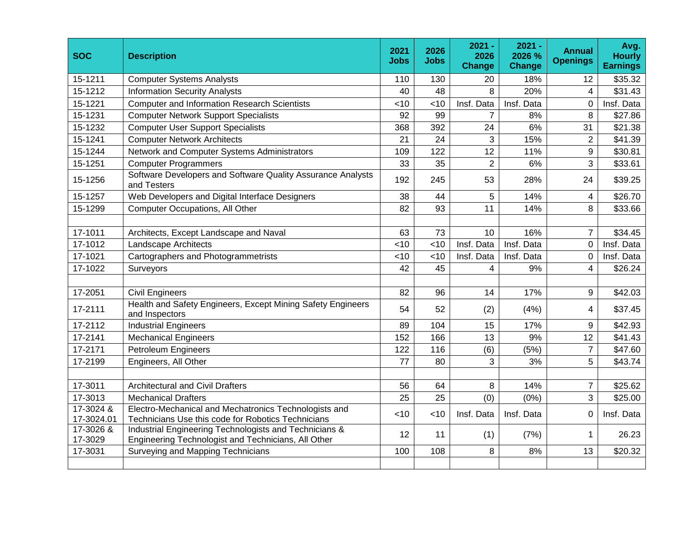| <b>SOC</b>              | <b>Description</b>                                                                                            |     | 2026<br><b>Jobs</b> | $2021 -$<br>2026<br><b>Change</b> | $2021 -$<br>2026 %<br><b>Change</b> | <b>Annual</b><br><b>Openings</b> | Avg.<br><b>Hourly</b><br><b>Earnings</b> |
|-------------------------|---------------------------------------------------------------------------------------------------------------|-----|---------------------|-----------------------------------|-------------------------------------|----------------------------------|------------------------------------------|
| 15-1211                 | <b>Computer Systems Analysts</b>                                                                              | 110 | 130                 | 20                                | 18%                                 | 12                               | \$35.32                                  |
| 15-1212                 | <b>Information Security Analysts</b>                                                                          | 40  | 48                  | 8                                 | 20%                                 | 4                                | \$31.43                                  |
| 15-1221                 | <b>Computer and Information Research Scientists</b>                                                           | <10 | <10                 | Insf. Data                        | Insf. Data                          | 0                                | Insf. Data                               |
| 15-1231                 | <b>Computer Network Support Specialists</b>                                                                   | 92  | 99                  | $\overline{7}$                    | 8%                                  | 8                                | \$27.86                                  |
| 15-1232                 | <b>Computer User Support Specialists</b>                                                                      | 368 | 392                 | 24                                | 6%                                  | 31                               | \$21.38                                  |
| 15-1241                 | <b>Computer Network Architects</b>                                                                            | 21  | 24                  | 3                                 | 15%                                 | $\overline{2}$                   | \$41.39                                  |
| 15-1244                 | Network and Computer Systems Administrators                                                                   | 109 | 122                 | 12                                | 11%                                 | 9                                | \$30.81                                  |
| 15-1251                 | <b>Computer Programmers</b>                                                                                   | 33  | 35                  | $\overline{2}$                    | 6%                                  | 3                                | \$33.61                                  |
| 15-1256                 | Software Developers and Software Quality Assurance Analysts<br>and Testers                                    |     | 245                 | 53                                | 28%                                 | 24                               | \$39.25                                  |
| 15-1257                 | Web Developers and Digital Interface Designers                                                                |     | 44                  | 5                                 | 14%                                 | $\overline{4}$                   | \$26.70                                  |
| 15-1299                 | <b>Computer Occupations, All Other</b>                                                                        |     | 93                  | 11                                | 14%                                 | 8                                | \$33.66                                  |
|                         |                                                                                                               |     |                     |                                   |                                     |                                  |                                          |
| 17-1011                 | Architects, Except Landscape and Naval                                                                        | 63  | 73                  | 10                                | 16%                                 | $\overline{7}$                   | \$34.45                                  |
| 17-1012                 | Landscape Architects                                                                                          |     | <10                 | Insf. Data                        | Insf. Data                          | $\overline{0}$                   | Insf. Data                               |
| 17-1021                 | Cartographers and Photogrammetrists                                                                           |     | <10                 | Insf. Data                        | Insf. Data                          | 0                                | Insf. Data                               |
| 17-1022                 | Surveyors                                                                                                     | 42  | 45                  | 4                                 | 9%                                  | $\overline{4}$                   | \$26.24                                  |
|                         |                                                                                                               |     |                     |                                   |                                     |                                  |                                          |
| 17-2051                 | <b>Civil Engineers</b>                                                                                        | 82  | 96                  | 14                                | 17%                                 | 9                                | \$42.03                                  |
| 17-2111                 | Health and Safety Engineers, Except Mining Safety Engineers<br>and Inspectors                                 | 54  | 52                  | (2)                               | (4% )                               | 4                                | \$37.45                                  |
| 17-2112                 | <b>Industrial Engineers</b>                                                                                   | 89  | 104                 | 15                                | 17%                                 | 9                                | \$42.93                                  |
| 17-2141                 | <b>Mechanical Engineers</b>                                                                                   | 152 | 166                 | 13                                | 9%                                  | 12                               | \$41.43                                  |
| 17-2171                 | <b>Petroleum Engineers</b>                                                                                    | 122 | 116                 | (6)                               | (5%)                                | $\overline{7}$                   | \$47.60                                  |
| 17-2199                 | Engineers, All Other                                                                                          | 77  | 80                  | 3                                 | 3%                                  | 5                                | \$43.74                                  |
|                         |                                                                                                               |     |                     |                                   |                                     |                                  |                                          |
| 17-3011                 | <b>Architectural and Civil Drafters</b>                                                                       | 56  | 64                  | 8                                 | 14%                                 | $\overline{7}$                   | \$25.62                                  |
| 17-3013                 | <b>Mechanical Drafters</b>                                                                                    | 25  | 25                  | (0)                               | (0% )                               | 3                                | \$25.00                                  |
| 17-3024 &<br>17-3024.01 | Electro-Mechanical and Mechatronics Technologists and<br>Technicians Use this code for Robotics Technicians   |     | <10                 | Insf. Data                        | Insf. Data                          | $\Omega$                         | Insf. Data                               |
| 17-3026 &<br>17-3029    | Industrial Engineering Technologists and Technicians &<br>Engineering Technologist and Technicians, All Other | 12  | 11                  | (1)                               | (7%)                                | $\mathbf{1}$                     | 26.23                                    |
| 17-3031                 | Surveying and Mapping Technicians                                                                             | 100 | 108                 | 8                                 | 8%                                  | 13                               | \$20.32                                  |
|                         |                                                                                                               |     |                     |                                   |                                     |                                  |                                          |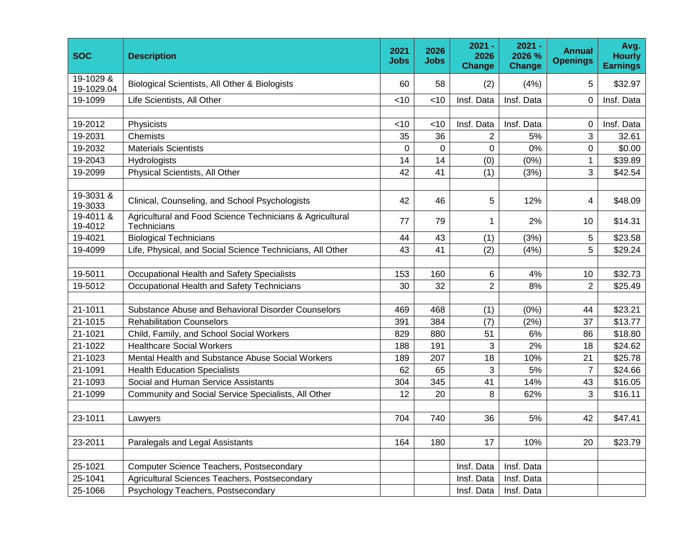| <b>SOC</b>              | <b>Description</b>                                                                   | 2021<br>Jobs   | 2026<br><b>Jobs</b> | $2021 -$<br>2026<br><b>Change</b> | $2021 -$<br>2026 %<br><b>Change</b> | <b>Annual</b><br><b>Openings</b> | Avg.<br><b>Hourly</b><br><b>Earnings</b> |
|-------------------------|--------------------------------------------------------------------------------------|----------------|---------------------|-----------------------------------|-------------------------------------|----------------------------------|------------------------------------------|
| 19-1029 &<br>19-1029.04 | Biological Scientists, All Other & Biologists                                        | 60             | 58                  | (2)                               | (4%)                                | 5                                | \$32.97                                  |
| 19-1099                 | Life Scientists, All Other                                                           | <10            | <10                 | Insf. Data                        | Insf. Data                          | $\mathbf 0$                      | Insf. Data                               |
| 19-2012                 | Physicists                                                                           | <10            | < 10                | Insf. Data                        | Insf. Data                          | $\Omega$                         | Insf. Data                               |
| 19-2031                 | Chemists                                                                             | 35<br>$\Omega$ | 36                  | $\overline{2}$                    | 5%                                  | 3                                | 32.61                                    |
|                         | 19-2032<br><b>Materials Scientists</b>                                               |                | 0                   | 0                                 | 0%                                  | 0                                | \$0.00                                   |
| 19-2043                 | Hydrologists                                                                         | 14             | 14                  | (0)                               | $(0\%)$                             | $\mathbf{1}$                     | \$39.89                                  |
| 19-2099                 | Physical Scientists, All Other                                                       | 42             | 41                  | (1)                               | (3%)                                | 3                                | \$42.54                                  |
| 19-3031 &<br>19-3033    | Clinical, Counseling, and School Psychologists                                       | 42             | 46                  | 5                                 | 12%                                 | 4                                | \$48.09                                  |
| 19-4012                 | 19-4011 &<br>Agricultural and Food Science Technicians & Agricultural<br>Technicians |                | 79                  | $\mathbf 1$                       | 2%                                  | 10                               | \$14.31                                  |
| 19-4021                 | <b>Biological Technicians</b>                                                        |                | 43                  | (1)                               | (3%)                                | 5                                | \$23.58                                  |
| 19-4099                 | Life, Physical, and Social Science Technicians, All Other                            |                | 41                  | (2)                               | (4%)                                | 5                                | \$29.24                                  |
| 19-5011                 | Occupational Health and Safety Specialists                                           | 153            | 160                 | 6                                 | 4%                                  | 10                               | \$32.73                                  |
| 19-5012                 | Occupational Health and Safety Technicians                                           | 30             | 32                  | $\overline{2}$                    | 8%                                  | $\overline{2}$                   | \$25.49                                  |
| 21-1011                 | Substance Abuse and Behavioral Disorder Counselors                                   | 469            | 468                 | (1)                               | (0% )                               | 44                               | \$23.21                                  |
| 21-1015                 | <b>Rehabilitation Counselors</b>                                                     | 391            | 384                 | (7)                               | (2%)                                | 37                               | \$13.77                                  |
| 21-1021                 | Child, Family, and School Social Workers                                             | 829            | 880                 | 51                                | 6%                                  | 86                               | \$18.80                                  |
| 21-1022                 | <b>Healthcare Social Workers</b>                                                     | 188            | 191                 | 3                                 | 2%                                  | 18                               | \$24.62                                  |
| 21-1023                 | Mental Health and Substance Abuse Social Workers                                     | 189            | 207                 | 18                                | 10%                                 | 21                               | \$25.78                                  |
| 21-1091                 | <b>Health Education Specialists</b>                                                  | 62             | 65                  | 3                                 | 5%                                  | $\overline{7}$                   | \$24.66                                  |
| 21-1093                 | Social and Human Service Assistants                                                  | 304            | 345                 | 41                                | 14%                                 | 43                               | \$16.05                                  |
| 21-1099                 | Community and Social Service Specialists, All Other                                  | 12             | 20                  | 8                                 | 62%                                 | 3                                | \$16.11                                  |
| 23-1011                 | Lawyers                                                                              | 704            | 740                 | 36                                | 5%                                  | 42                               | \$47.41                                  |
| 23-2011                 | Paralegals and Legal Assistants                                                      | 164            | 180                 | 17                                | 10%                                 | 20                               | \$23.79                                  |
| 25-1021                 | <b>Computer Science Teachers, Postsecondary</b>                                      |                |                     | Insf. Data                        | Insf. Data                          |                                  |                                          |
| 25-1041                 | Agricultural Sciences Teachers, Postsecondary                                        |                |                     | Insf. Data                        | Insf. Data                          |                                  |                                          |
| 25-1066                 | Psychology Teachers, Postsecondary                                                   |                |                     | Insf. Data                        | Insf. Data                          |                                  |                                          |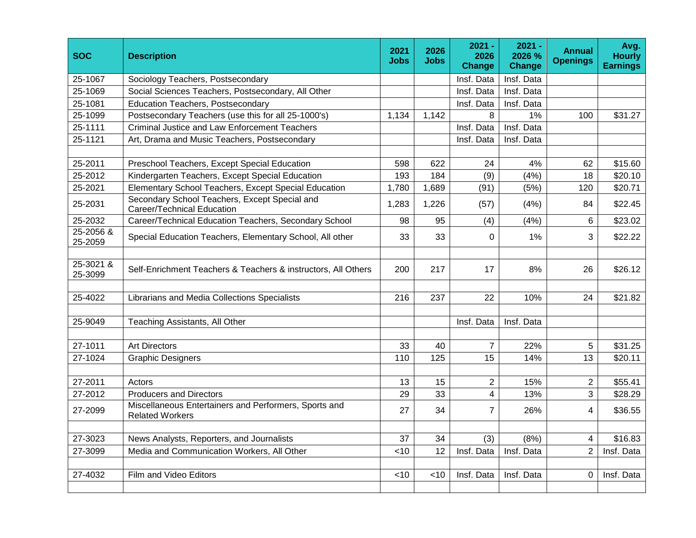| <b>SOC</b>           | <b>Description</b>                                                              |            | 2026<br><b>Jobs</b> | $2021 -$<br>2026<br>Change | $2021 -$<br>2026 %<br>Change | <b>Annual</b><br><b>Openings</b> | Avg.<br><b>Hourly</b><br><b>Earnings</b> |
|----------------------|---------------------------------------------------------------------------------|------------|---------------------|----------------------------|------------------------------|----------------------------------|------------------------------------------|
| 25-1067              | Sociology Teachers, Postsecondary                                               |            |                     | Insf. Data                 | Insf. Data                   |                                  |                                          |
| 25-1069              | Social Sciences Teachers, Postsecondary, All Other                              |            |                     | Insf. Data                 | Insf. Data                   |                                  |                                          |
| 25-1081              | <b>Education Teachers, Postsecondary</b>                                        |            |                     | Insf. Data                 | Insf. Data                   |                                  |                                          |
| 25-1099              | Postsecondary Teachers (use this for all 25-1000's)                             | 1,134      | 1,142               | 8                          | 1%                           | 100                              | \$31.27                                  |
| 25-1111              | Criminal Justice and Law Enforcement Teachers                                   |            |                     | Insf. Data                 | Insf. Data                   |                                  |                                          |
| 25-1121              | Art, Drama and Music Teachers, Postsecondary                                    |            |                     | Insf. Data                 | Insf. Data                   |                                  |                                          |
|                      |                                                                                 |            |                     |                            |                              |                                  |                                          |
| 25-2011              | Preschool Teachers, Except Special Education                                    | 598<br>193 | 622<br>184          | 24                         | 4%                           | 62                               | \$15.60                                  |
| 25-2012              | Kindergarten Teachers, Except Special Education                                 |            |                     | (9)                        | (4% )                        | 18                               | \$20.10                                  |
| 25-2021              | Elementary School Teachers, Except Special Education                            | 1,780      | 1,689               | (91)                       | (5%)                         | 120                              | \$20.71                                  |
| 25-2031              | Secondary School Teachers, Except Special and<br>Career/Technical Education     |            | 1,226               | (57)                       | (4%)                         | 84                               | \$22.45                                  |
| 25-2032              | Career/Technical Education Teachers, Secondary School                           |            | 95                  | (4)                        | (4% )                        | 6                                | \$23.02                                  |
| 25-2056 &<br>25-2059 | Special Education Teachers, Elementary School, All other                        |            | 33                  | $\Omega$                   | 1%                           | 3                                | \$22.22                                  |
|                      |                                                                                 |            |                     |                            |                              |                                  |                                          |
| 25-3099              | 25-3021 &<br>Self-Enrichment Teachers & Teachers & instructors, All Others      |            | 217                 | 17                         | 8%                           | 26                               | \$26.12                                  |
| 25-4022              | Librarians and Media Collections Specialists                                    | 216        | 237                 | 22                         | 10%                          | 24                               | \$21.82                                  |
| 25-9049              | Teaching Assistants, All Other                                                  |            |                     | Insf. Data                 | Insf. Data                   |                                  |                                          |
|                      |                                                                                 |            |                     |                            |                              |                                  |                                          |
| 27-1011              | <b>Art Directors</b>                                                            | 33         | 40                  | $\overline{7}$             | 22%                          | 5                                | \$31.25                                  |
| 27-1024              | <b>Graphic Designers</b>                                                        | 110        | 125                 | 15                         | 14%                          | 13                               | \$20.11                                  |
|                      |                                                                                 |            |                     |                            |                              |                                  |                                          |
| 27-2011              | Actors                                                                          | 13         | 15                  | $\overline{c}$             | 15%                          | $\overline{2}$                   | \$55.41                                  |
| 27-2012              | <b>Producers and Directors</b>                                                  | 29         | 33                  | 4                          | 13%                          | 3                                | \$28.29                                  |
| 27-2099              | Miscellaneous Entertainers and Performers, Sports and<br><b>Related Workers</b> | 27         | 34                  | $\overline{7}$             | 26%                          | 4                                | \$36.55                                  |
| 27-3023              | News Analysts, Reporters, and Journalists                                       | 37         | 34                  | (3)                        | (8%)                         | 4                                | \$16.83                                  |
| 27-3099              | Media and Communication Workers, All Other                                      | < 10       | 12                  | Insf. Data                 | Insf. Data                   | $\overline{2}$                   | Insf. Data                               |
|                      |                                                                                 |            |                     |                            |                              |                                  |                                          |
| 27-4032              | Film and Video Editors                                                          | < 10       | $<$ 10              | Insf. Data                 | Insf. Data                   | $\Omega$                         | Insf. Data                               |
|                      |                                                                                 |            |                     |                            |                              |                                  |                                          |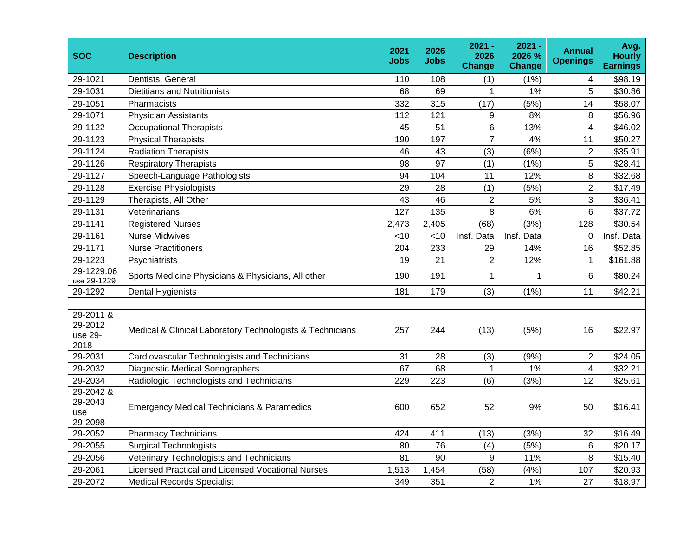| <b>SOC</b>                              | <b>Description</b>                                        | 2021<br>Jobs | 2026<br><b>Jobs</b> | $2021 -$<br>2026<br><b>Change</b> | 2021 -<br>2026 %<br><b>Change</b> | <b>Annual</b><br><b>Openings</b> | Avg.<br><b>Hourly</b><br><b>Earnings</b> |
|-----------------------------------------|-----------------------------------------------------------|--------------|---------------------|-----------------------------------|-----------------------------------|----------------------------------|------------------------------------------|
| 29-1021                                 | Dentists, General                                         | 110          | 108                 | (1)                               | (1% )                             | 4                                | \$98.19                                  |
| 29-1031                                 | <b>Dietitians and Nutritionists</b>                       | 68           | 69                  | $\mathbf{1}$                      | 1%                                | 5                                | \$30.86                                  |
| 29-1051                                 | Pharmacists                                               | 332          | 315                 | (17)                              | (5%)                              | 14                               | \$58.07                                  |
| 29-1071                                 | <b>Physician Assistants</b>                               | 112          | 121                 | 9                                 | 8%                                | 8                                | \$56.96                                  |
| 29-1122                                 | <b>Occupational Therapists</b>                            | 45           | 51                  | 6                                 | 13%                               | 4                                | \$46.02                                  |
| 29-1123                                 | <b>Physical Therapists</b>                                |              | 197                 | $\overline{7}$                    | 4%                                | 11                               | \$50.27                                  |
| 29-1124                                 | <b>Radiation Therapists</b>                               |              | 43                  | (3)                               | (6%)                              | $\overline{c}$                   | \$35.91                                  |
| 29-1126                                 | <b>Respiratory Therapists</b>                             |              | 97                  | (1)                               | (1% )                             | 5                                | \$28.41                                  |
| 29-1127                                 | Speech-Language Pathologists                              | 94           | 104                 | 11                                | 12%                               | 8                                | \$32.68                                  |
| 29-1128                                 | <b>Exercise Physiologists</b>                             | 29           | 28                  | (1)                               | (5%)                              | $\overline{2}$                   | \$17.49                                  |
| 29-1129                                 | Therapists, All Other                                     | 43           | 46                  | $\overline{2}$                    | 5%                                | 3                                | \$36.41                                  |
| 29-1131                                 | Veterinarians                                             | 127          | 135                 | 8                                 | 6%                                | 6                                | \$37.72                                  |
| 29-1141                                 | <b>Registered Nurses</b>                                  |              | 2,405               | (68)                              | (3%)                              | 128                              | \$30.54                                  |
| 29-1161                                 | <b>Nurse Midwives</b>                                     |              | < 10                | Insf. Data                        | Insf. Data                        | $\Omega$                         | Insf. Data                               |
| 29-1171                                 | <b>Nurse Practitioners</b>                                |              | 233                 | 29                                | 14%                               | 16                               | \$52.85                                  |
| 29-1223                                 | Psychiatrists                                             |              | 21                  | $\overline{2}$                    | 12%                               | $\mathbf{1}$                     | \$161.88                                 |
| 29-1229.06<br>use 29-1229               | Sports Medicine Physicians & Physicians, All other        | 190          | 191                 | 1                                 | 1                                 | $6\phantom{1}6$                  | \$80.24                                  |
| 29-1292                                 | <b>Dental Hygienists</b>                                  | 181          | 179                 | (3)                               | (1% )                             | 11                               | \$42.21                                  |
| 29-2011 &<br>29-2012<br>use 29-<br>2018 | Medical & Clinical Laboratory Technologists & Technicians |              | 244                 | (13)                              | (5%)                              | 16                               | \$22.97                                  |
| 29-2031                                 | Cardiovascular Technologists and Technicians              | 31           | 28                  | (3)                               | (9% )                             | $\overline{2}$                   | \$24.05                                  |
| 29-2032                                 | Diagnostic Medical Sonographers                           | 67           | 68                  | $\mathbf{1}$                      | 1%                                | 4                                | \$32.21                                  |
| 29-2034                                 | Radiologic Technologists and Technicians                  | 229          | 223                 | (6)                               | (3%)                              | 12                               | \$25.61                                  |
| 29-2042 &<br>29-2043<br>use<br>29-2098  | <b>Emergency Medical Technicians &amp; Paramedics</b>     |              | 652                 | 52                                | 9%                                | 50                               | \$16.41                                  |
| 29-2052                                 | <b>Pharmacy Technicians</b>                               | 424          | 411                 | (13)                              | (3% )                             | 32                               | \$16.49                                  |
| 29-2055                                 | <b>Surgical Technologists</b>                             | 80           | 76                  | (4)                               | (5%)                              | 6                                | \$20.17                                  |
| 29-2056                                 | Veterinary Technologists and Technicians                  | 81           | 90                  | 9                                 | 11%                               | 8                                | \$15.40                                  |
| 29-2061                                 | Licensed Practical and Licensed Vocational Nurses         | 1,513        | 1,454               | (58)                              | (4% )                             | 107                              | \$20.93                                  |
| 29-2072                                 | <b>Medical Records Specialist</b>                         | 349          | 351                 | $\overline{2}$                    | 1%                                | 27                               | \$18.97                                  |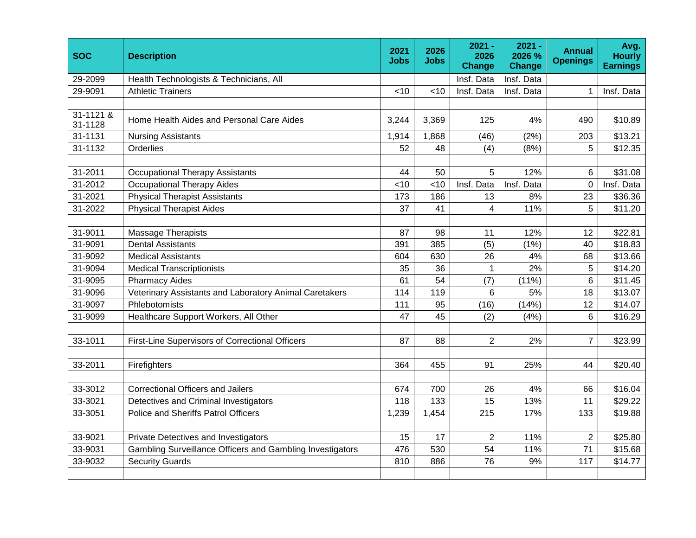| <b>SOC</b>                    | <b>Description</b>                                        | 2021<br><b>Jobs</b> | 2026<br><b>Jobs</b> | $2021 -$<br>2026<br>Change | $2021 -$<br>2026 %<br><b>Change</b> | <b>Annual</b><br><b>Openings</b> | Avg.<br><b>Hourly</b><br><b>Earnings</b> |
|-------------------------------|-----------------------------------------------------------|---------------------|---------------------|----------------------------|-------------------------------------|----------------------------------|------------------------------------------|
| 29-2099                       | Health Technologists & Technicians, All                   |                     |                     | Insf. Data                 | Insf. Data                          |                                  |                                          |
| 29-9091                       | <b>Athletic Trainers</b>                                  | <10                 | <10                 | Insf. Data                 | Insf. Data                          | 1                                | Insf. Data                               |
|                               |                                                           |                     |                     |                            |                                     |                                  |                                          |
| $31 - 1121$ &<br>31-1128      | Home Health Aides and Personal Care Aides                 | 3,244               | 3,369               | 125                        | 4%                                  | 490                              | \$10.89                                  |
| 31-1131                       | <b>Nursing Assistants</b>                                 | 1,914               | 1,868               | (46)                       | (2%)                                | 203                              | \$13.21                                  |
| 31-1132                       | Orderlies                                                 |                     | 48                  | (4)                        | (8%)                                | 5                                | \$12.35                                  |
|                               |                                                           |                     |                     |                            |                                     |                                  |                                          |
| 31-2011                       | <b>Occupational Therapy Assistants</b>                    |                     | 50                  | 5                          | 12%                                 | 6                                | \$31.08                                  |
| 31-2012                       | <b>Occupational Therapy Aides</b>                         | <10                 | <10                 | Insf. Data                 | Insf. Data                          | $\overline{0}$                   | Insf. Data                               |
| 31-2021                       | <b>Physical Therapist Assistants</b>                      | 173                 | 186                 | 13                         | 8%                                  | 23                               | \$36.36                                  |
| 31-2022                       | <b>Physical Therapist Aides</b>                           | 37                  | 41                  | $\overline{4}$             | 11%                                 | 5                                | \$11.20                                  |
|                               |                                                           |                     |                     |                            |                                     |                                  |                                          |
| 31-9011<br>Massage Therapists |                                                           | 87                  | 98                  | 11                         | 12%                                 | 12                               | \$22.81                                  |
| 31-9091                       | <b>Dental Assistants</b>                                  |                     | 385                 | (5)                        | (1% )                               | 40                               | \$18.83                                  |
| 31-9092                       | <b>Medical Assistants</b>                                 |                     | 630                 | 26                         | 4%                                  | 68                               | \$13.66                                  |
| 31-9094                       | <b>Medical Transcriptionists</b>                          | 35                  | 36                  | $\mathbf{1}$               | 2%                                  | 5                                | \$14.20                                  |
| 31-9095                       | <b>Pharmacy Aides</b>                                     | 61                  | 54                  | (7)                        | (11%)                               | 6                                | \$11.45                                  |
| 31-9096                       | Veterinary Assistants and Laboratory Animal Caretakers    | 114                 | 119                 | 6                          | 5%                                  | 18                               | \$13.07                                  |
| 31-9097                       | Phlebotomists                                             | 111                 | 95                  | (16)                       | (14%)                               | 12                               | \$14.07                                  |
| 31-9099                       | Healthcare Support Workers, All Other                     | 47                  | 45                  | (2)                        | (4% )                               | 6                                | \$16.29                                  |
|                               |                                                           |                     |                     |                            |                                     |                                  |                                          |
| 33-1011                       | First-Line Supervisors of Correctional Officers           | 87                  | 88                  | $\overline{2}$             | 2%                                  | $\overline{7}$                   | \$23.99                                  |
|                               |                                                           |                     |                     |                            |                                     |                                  |                                          |
| 33-2011                       | Firefighters                                              | 364                 | 455                 | 91                         | 25%                                 | 44                               | \$20.40                                  |
|                               |                                                           |                     |                     |                            |                                     |                                  |                                          |
| 33-3012                       | <b>Correctional Officers and Jailers</b>                  | 674                 | 700                 | 26                         | 4%                                  | 66                               | \$16.04                                  |
| 33-3021                       | Detectives and Criminal Investigators                     | 118                 | 133                 | 15                         | 13%                                 | 11                               | \$29.22                                  |
| 33-3051                       | <b>Police and Sheriffs Patrol Officers</b>                | 1,239               | 1,454               | 215                        | 17%                                 | 133                              | \$19.88                                  |
|                               |                                                           |                     |                     |                            |                                     |                                  |                                          |
| 33-9021                       | Private Detectives and Investigators                      | 15                  | 17                  | $\overline{2}$             | 11%                                 | $\overline{2}$                   | \$25.80                                  |
| 33-9031                       | Gambling Surveillance Officers and Gambling Investigators | 476                 | 530                 | 54                         | 11%                                 | 71                               | \$15.68                                  |
| 33-9032                       | <b>Security Guards</b>                                    | 810                 | 886                 | 76                         | 9%                                  | 117                              | \$14.77                                  |
|                               |                                                           |                     |                     |                            |                                     |                                  |                                          |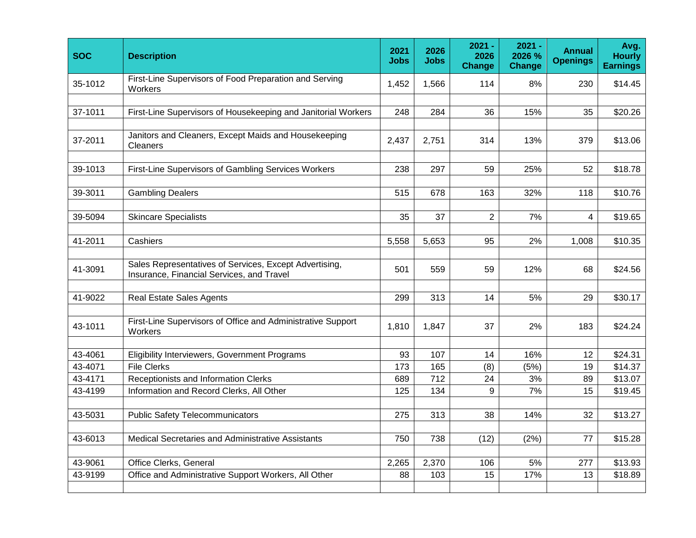| <b>SOC</b>                                                                                                     | <b>Description</b>                                                         |       | 2026<br><b>Jobs</b> | $2021 -$<br>2026<br><b>Change</b> | $2021 -$<br>2026 %<br><b>Change</b> | <b>Annual</b><br><b>Openings</b> | Avg.<br><b>Hourly</b><br><b>Earnings</b> |
|----------------------------------------------------------------------------------------------------------------|----------------------------------------------------------------------------|-------|---------------------|-----------------------------------|-------------------------------------|----------------------------------|------------------------------------------|
| 35-1012                                                                                                        | First-Line Supervisors of Food Preparation and Serving<br>1,452<br>Workers |       | 1,566               | 114                               | 8%                                  | 230                              | \$14.45                                  |
| 37-1011                                                                                                        | First-Line Supervisors of Housekeeping and Janitorial Workers              | 248   | 284                 | 36                                | 15%                                 | 35                               | \$20.26                                  |
| Janitors and Cleaners, Except Maids and Housekeeping<br>37-2011<br>Cleaners                                    |                                                                            | 2,437 | 2,751               | 314                               | 13%                                 | 379                              | \$13.06                                  |
| 39-1013<br>First-Line Supervisors of Gambling Services Workers                                                 |                                                                            | 238   | 297                 | 59                                | 25%                                 | 52                               | \$18.78                                  |
| 39-3011                                                                                                        | <b>Gambling Dealers</b>                                                    | 515   | 678                 | 163                               | 32%                                 | 118                              | \$10.76                                  |
| 39-5094                                                                                                        | <b>Skincare Specialists</b>                                                |       | 37                  | $\overline{2}$                    | 7%                                  | 4                                | \$19.65                                  |
| 41-2011<br>Cashiers                                                                                            |                                                                            | 5,558 | 5,653               | 95                                | 2%                                  | 1,008                            | \$10.35                                  |
| Sales Representatives of Services, Except Advertising,<br>41-3091<br>Insurance, Financial Services, and Travel |                                                                            | 501   | 559                 | 59                                | 12%                                 | 68                               | \$24.56                                  |
| 41-9022                                                                                                        | <b>Real Estate Sales Agents</b>                                            | 299   | 313                 | 14                                | 5%                                  | 29                               | \$30.17                                  |
| 43-1011                                                                                                        | First-Line Supervisors of Office and Administrative Support<br>Workers     | 1,810 | 1,847               | 37                                | 2%                                  | 183                              | \$24.24                                  |
| 43-4061                                                                                                        | Eligibility Interviewers, Government Programs                              | 93    | 107                 | 14                                | 16%                                 | 12                               | \$24.31                                  |
| 43-4071                                                                                                        | <b>File Clerks</b>                                                         | 173   | 165                 | (8)                               | (5%)                                | 19                               | \$14.37                                  |
| 43-4171                                                                                                        | Receptionists and Information Clerks                                       | 689   | 712                 | 24                                | 3%                                  | 89                               | \$13.07                                  |
| 43-4199                                                                                                        | Information and Record Clerks, All Other                                   | 125   | 134                 | 9                                 | 7%                                  | 15                               | \$19.45                                  |
| 43-5031                                                                                                        | <b>Public Safety Telecommunicators</b>                                     | 275   | 313                 | 38                                | 14%                                 | 32                               | \$13.27                                  |
| 43-6013                                                                                                        | Medical Secretaries and Administrative Assistants                          | 750   | 738                 | (12)                              | (2%)                                | 77                               | \$15.28                                  |
| 43-9061                                                                                                        | Office Clerks, General                                                     | 2,265 | 2,370               | 106                               | 5%                                  | 277                              | \$13.93                                  |
| 43-9199                                                                                                        | Office and Administrative Support Workers, All Other                       | 88    | 103                 | 15                                | 17%                                 | 13                               | \$18.89                                  |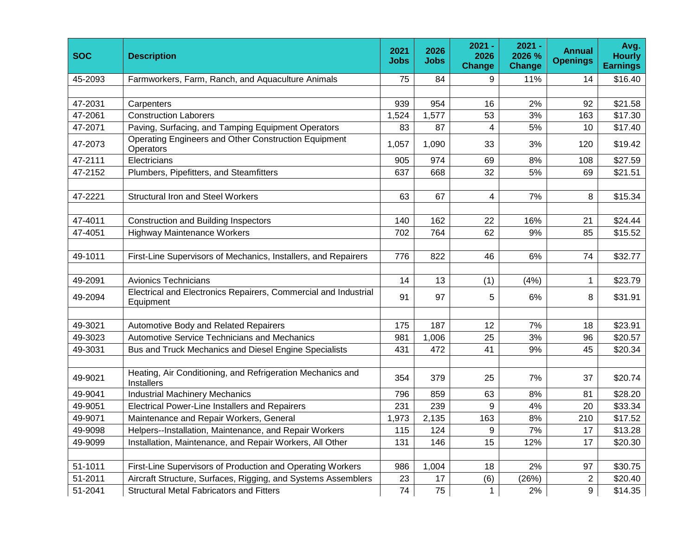| <b>SOC</b> | <b>Description</b>                                                           |       | 2026<br><b>Jobs</b> | $2021 -$<br>2026<br><b>Change</b> | $2021 -$<br>2026 %<br><b>Change</b> | <b>Annual</b><br><b>Openings</b> | Avg.<br><b>Hourly</b><br><b>Earnings</b> |
|------------|------------------------------------------------------------------------------|-------|---------------------|-----------------------------------|-------------------------------------|----------------------------------|------------------------------------------|
| 45-2093    | Farmworkers, Farm, Ranch, and Aquaculture Animals                            | 75    | 84                  | 9                                 | 11%                                 | 14                               | \$16.40                                  |
|            |                                                                              |       |                     |                                   |                                     |                                  |                                          |
| 47-2031    | Carpenters                                                                   | 939   | 954                 | 16                                | 2%                                  | 92                               | \$21.58                                  |
| 47-2061    | <b>Construction Laborers</b>                                                 | 1,524 | 1,577               | 53                                | 3%                                  | 163                              | \$17.30                                  |
| 47-2071    | Paving, Surfacing, and Tamping Equipment Operators                           | 83    | 87                  | 4                                 | 5%                                  | 10                               | \$17.40                                  |
| 47-2073    | Operating Engineers and Other Construction Equipment<br>Operators            | 1,057 | 1,090               | 33                                | 3%                                  | 120                              | \$19.42                                  |
| 47-2111    | Electricians                                                                 | 905   | 974                 | 69                                | 8%                                  | 108                              | \$27.59                                  |
| 47-2152    | Plumbers, Pipefitters, and Steamfitters                                      | 637   | 668                 | 32                                | 5%                                  | 69                               | \$21.51                                  |
|            |                                                                              |       |                     |                                   |                                     |                                  |                                          |
| 47-2221    | <b>Structural Iron and Steel Workers</b>                                     | 63    | 67                  | $\overline{4}$                    | 7%                                  | 8                                | \$15.34                                  |
|            |                                                                              |       |                     |                                   |                                     |                                  |                                          |
| 47-4011    | <b>Construction and Building Inspectors</b>                                  | 140   | 162                 | 22                                | 16%                                 | 21                               | \$24.44                                  |
| 47-4051    | <b>Highway Maintenance Workers</b>                                           | 702   | 764                 | 62                                | 9%                                  | 85                               | \$15.52                                  |
|            |                                                                              |       |                     |                                   |                                     |                                  |                                          |
| 49-1011    | First-Line Supervisors of Mechanics, Installers, and Repairers               |       | 822                 | 46                                | 6%                                  | 74                               | \$32.77                                  |
|            |                                                                              |       |                     |                                   |                                     |                                  |                                          |
| 49-2091    | <b>Avionics Technicians</b>                                                  | 14    | 13                  | (1)                               | (4% )                               | 1                                | \$23.79                                  |
| 49-2094    | Electrical and Electronics Repairers, Commercial and Industrial<br>Equipment | 91    | 97                  | 5                                 | 6%                                  | 8                                | \$31.91                                  |
|            |                                                                              |       |                     |                                   |                                     |                                  |                                          |
| 49-3021    | Automotive Body and Related Repairers                                        | 175   | 187                 | 12                                | 7%                                  | 18                               | \$23.91                                  |
| 49-3023    | Automotive Service Technicians and Mechanics                                 | 981   | 1,006               | 25                                | 3%                                  | 96                               | \$20.57                                  |
| 49-3031    | Bus and Truck Mechanics and Diesel Engine Specialists                        | 431   | 472                 | 41                                | 9%                                  | 45                               | \$20.34                                  |
|            |                                                                              |       |                     |                                   |                                     |                                  |                                          |
| 49-9021    | Heating, Air Conditioning, and Refrigeration Mechanics and<br>Installers     | 354   | 379                 | 25                                | 7%                                  | 37                               | \$20.74                                  |
| 49-9041    | <b>Industrial Machinery Mechanics</b>                                        | 796   | 859                 | 63                                | 8%                                  | 81                               | \$28.20                                  |
| 49-9051    | <b>Electrical Power-Line Installers and Repairers</b>                        | 231   | 239                 | 9                                 | 4%                                  | 20                               | \$33.34                                  |
| 49-9071    | Maintenance and Repair Workers, General                                      | 1,973 | 2,135               | 163                               | 8%                                  | 210                              | \$17.52                                  |
| 49-9098    | Helpers--Installation, Maintenance, and Repair Workers                       | 115   | 124                 | 9                                 | 7%                                  | 17                               | \$13.28                                  |
| 49-9099    | Installation, Maintenance, and Repair Workers, All Other                     | 131   | 146                 | 15                                | 12%                                 | 17                               | \$20.30                                  |
|            |                                                                              |       |                     |                                   |                                     |                                  |                                          |
| 51-1011    | First-Line Supervisors of Production and Operating Workers                   | 986   | 1,004               | 18                                | 2%                                  | 97                               | \$30.75                                  |
| 51-2011    | Aircraft Structure, Surfaces, Rigging, and Systems Assemblers                | 23    | 17                  | (6)                               | (26%)                               | $\mathbf{2}$                     | \$20.40                                  |
| 51-2041    | <b>Structural Metal Fabricators and Fitters</b>                              | 74    | 75                  | $\mathbf{1}$                      | 2%                                  | 9                                | \$14.35                                  |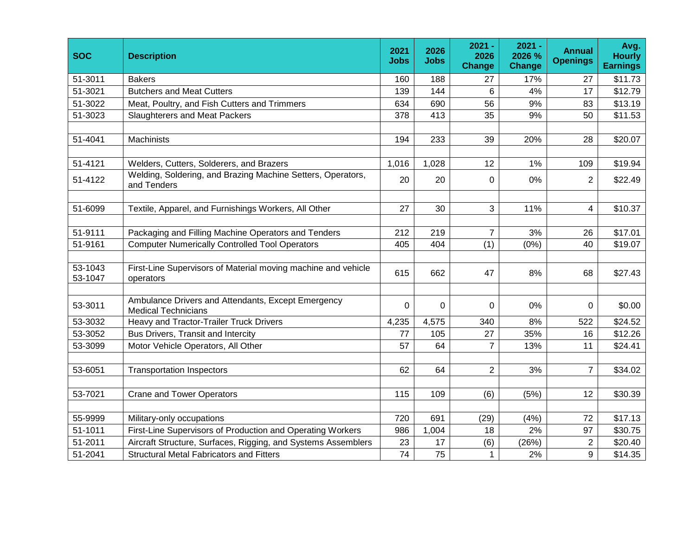| <b>SOC</b>         | <b>Description</b>                                                               |          | 2026<br><b>Jobs</b> | $2021 -$<br>2026<br><b>Change</b> | $2021 -$<br>2026 %<br><b>Change</b> | <b>Annual</b><br><b>Openings</b> | Avg.<br><b>Hourly</b><br><b>Earnings</b> |
|--------------------|----------------------------------------------------------------------------------|----------|---------------------|-----------------------------------|-------------------------------------|----------------------------------|------------------------------------------|
| 51-3011            | <b>Bakers</b>                                                                    | 160      | 188                 | 27                                | 17%                                 | 27                               | \$11.73                                  |
| 51-3021            | <b>Butchers and Meat Cutters</b>                                                 | 139      | 144                 | 6                                 | 4%                                  | 17                               | \$12.79                                  |
| 51-3022            | Meat, Poultry, and Fish Cutters and Trimmers                                     | 634      | 690                 | 56                                | 9%                                  | 83                               | \$13.19                                  |
| 51-3023            | <b>Slaughterers and Meat Packers</b>                                             | 378      | 413                 | 35                                | 9%                                  | 50                               | \$11.53                                  |
|                    |                                                                                  |          |                     |                                   |                                     |                                  |                                          |
| 51-4041            | Machinists                                                                       | 194      | 233                 | 39                                | 20%                                 | 28                               | \$20.07                                  |
|                    |                                                                                  |          |                     |                                   |                                     |                                  |                                          |
| 51-4121            | Welders, Cutters, Solderers, and Brazers                                         | 1,016    | 1,028               | 12                                | 1%                                  | 109                              | \$19.94                                  |
| 51-4122            | Welding, Soldering, and Brazing Machine Setters, Operators,<br>and Tenders       | 20       | 20                  | $\mathbf 0$                       | 0%                                  | $\overline{2}$                   | \$22.49                                  |
|                    |                                                                                  |          |                     |                                   |                                     |                                  |                                          |
| 51-6099            | Textile, Apparel, and Furnishings Workers, All Other                             | 27       | 30                  | 3                                 | 11%                                 | 4                                | \$10.37                                  |
|                    |                                                                                  |          |                     |                                   |                                     |                                  |                                          |
| 51-9111            | Packaging and Filling Machine Operators and Tenders                              |          | 219                 | $\overline{7}$                    | 3%                                  | 26                               | \$17.01                                  |
| 51-9161            | <b>Computer Numerically Controlled Tool Operators</b>                            |          | 404                 | (1)                               | (0% )                               | 40                               | \$19.07                                  |
|                    |                                                                                  |          |                     |                                   |                                     |                                  |                                          |
| 53-1043<br>53-1047 | First-Line Supervisors of Material moving machine and vehicle<br>operators       | 615      | 662                 | 47                                | 8%                                  | 68                               | \$27.43                                  |
|                    |                                                                                  |          |                     |                                   |                                     |                                  |                                          |
| 53-3011            | Ambulance Drivers and Attendants, Except Emergency<br><b>Medical Technicians</b> | $\Omega$ | $\mathbf 0$         | $\mathbf 0$                       | 0%                                  | $\overline{0}$                   | \$0.00                                   |
| 53-3032            | Heavy and Tractor-Trailer Truck Drivers                                          | 4,235    | 4,575               | 340                               | 8%                                  | 522                              | \$24.52                                  |
| 53-3052            | <b>Bus Drivers, Transit and Intercity</b>                                        | 77       | 105                 | 27                                | 35%                                 | 16                               | \$12.26                                  |
| 53-3099            | Motor Vehicle Operators, All Other                                               | 57       | 64                  | $\overline{7}$                    | 13%                                 | 11                               | \$24.41                                  |
|                    |                                                                                  |          |                     |                                   |                                     |                                  |                                          |
| 53-6051            | <b>Transportation Inspectors</b>                                                 | 62       | 64                  | $\overline{2}$                    | 3%                                  | $\overline{7}$                   | \$34.02                                  |
|                    |                                                                                  |          |                     |                                   |                                     |                                  |                                          |
| 53-7021            | <b>Crane and Tower Operators</b>                                                 | 115      | 109                 | (6)                               | (5%)                                | 12                               | \$30.39                                  |
| 55-9999            | Military-only occupations                                                        | 720      | 691                 | (29)                              | (4% )                               | 72                               | \$17.13                                  |
| 51-1011            | First-Line Supervisors of Production and Operating Workers                       | 986      | 1,004               | 18                                | 2%                                  | 97                               | \$30.75                                  |
| 51-2011            | Aircraft Structure, Surfaces, Rigging, and Systems Assemblers                    | 23       | 17                  | (6)                               | (26%)                               | $\overline{2}$                   | \$20.40                                  |
| 51-2041            | <b>Structural Metal Fabricators and Fitters</b>                                  | 74       | 75                  | $\mathbf{1}$                      | 2%                                  | 9                                | \$14.35                                  |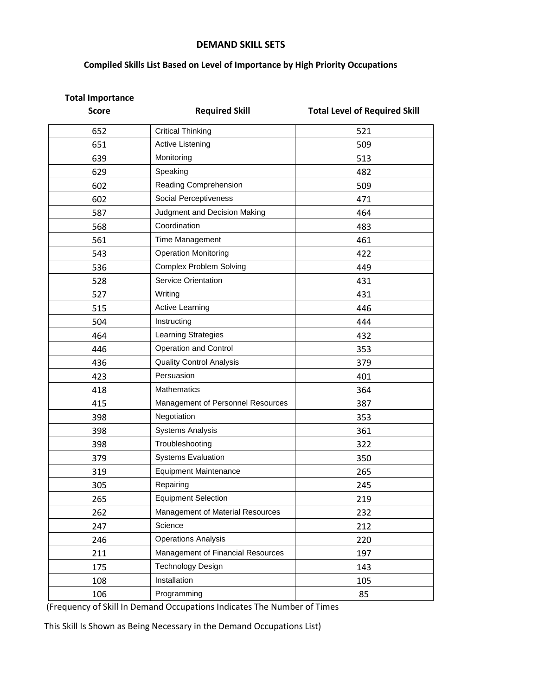#### **DEMAND SKILL SETS**

### **Compiled Skills List Based on Level of Importance by High Priority Occupations**

| <b>Total Importance</b><br><b>Score</b> | <b>Required Skill</b>             | <b>Total Level of Required Skill</b> |
|-----------------------------------------|-----------------------------------|--------------------------------------|
|                                         |                                   |                                      |
| 652                                     | <b>Critical Thinking</b>          | 521                                  |
| 651                                     | <b>Active Listening</b>           | 509                                  |
| 639                                     | Monitoring                        | 513                                  |
| 629                                     | Speaking                          | 482                                  |
| 602                                     | Reading Comprehension             | 509                                  |
| 602                                     | Social Perceptiveness             | 471                                  |
| 587                                     | Judgment and Decision Making      | 464                                  |
| 568                                     | Coordination                      | 483                                  |
| 561                                     | Time Management                   | 461                                  |
| 543                                     | <b>Operation Monitoring</b>       | 422                                  |
| 536                                     | <b>Complex Problem Solving</b>    | 449                                  |
| 528                                     | Service Orientation               | 431                                  |
| 527                                     | Writing                           | 431                                  |
| 515                                     | Active Learning                   | 446                                  |
| 504                                     | Instructing                       | 444                                  |
| 464                                     | Learning Strategies               | 432                                  |
| 446                                     | <b>Operation and Control</b>      | 353                                  |
| 436                                     | <b>Quality Control Analysis</b>   | 379                                  |
| 423                                     | Persuasion                        | 401                                  |
| 418                                     | Mathematics                       | 364                                  |
| 415                                     | Management of Personnel Resources | 387                                  |
| 398                                     | Negotiation                       | 353                                  |
| 398                                     | <b>Systems Analysis</b>           | 361                                  |
| 398                                     | Troubleshooting                   | 322                                  |
| 379                                     | <b>Systems Evaluation</b>         | 350                                  |
| 319                                     | <b>Equipment Maintenance</b>      | 265                                  |
| 305                                     | Repairing                         | 245                                  |
| 265                                     | <b>Equipment Selection</b>        | 219                                  |
| 262                                     | Management of Material Resources  | 232                                  |
| 247                                     | Science                           | 212                                  |
| 246                                     | <b>Operations Analysis</b>        | 220                                  |
| 211                                     | Management of Financial Resources | 197                                  |
| 175                                     | <b>Technology Design</b>          | 143                                  |
| 108                                     | Installation                      | 105                                  |
| 106                                     | Programming                       | 85                                   |

(Frequency of Skill In Demand Occupations Indicates The Number of Times

This Skill Is Shown as Being Necessary in the Demand Occupations List)